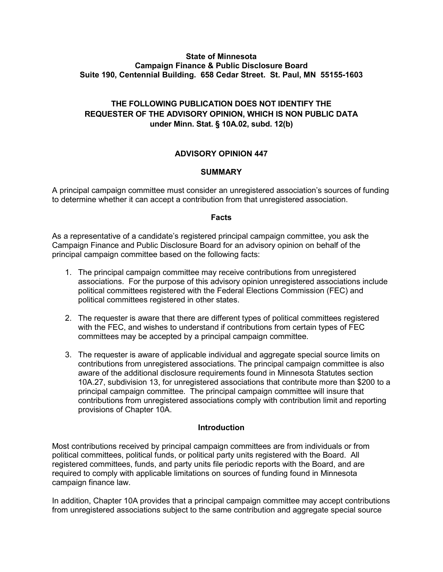#### **State of Minnesota Campaign Finance & Public Disclosure Board Suite 190, Centennial Building. 658 Cedar Street. St. Paul, MN 55155-1603**

# **THE FOLLOWING PUBLICATION DOES NOT IDENTIFY THE REQUESTER OF THE ADVISORY OPINION, WHICH IS NON PUBLIC DATA under Minn. Stat. § 10A.02, subd. 12(b)**

# **ADVISORY OPINION 447**

## **SUMMARY**

A principal campaign committee must consider an unregistered association's sources of funding to determine whether it can accept a contribution from that unregistered association.

## **Facts**

As a representative of a candidate's registered principal campaign committee, you ask the Campaign Finance and Public Disclosure Board for an advisory opinion on behalf of the principal campaign committee based on the following facts:

- 1. The principal campaign committee may receive contributions from unregistered associations. For the purpose of this advisory opinion unregistered associations include political committees registered with the Federal Elections Commission (FEC) and political committees registered in other states.
- 2. The requester is aware that there are different types of political committees registered with the FEC, and wishes to understand if contributions from certain types of FEC committees may be accepted by a principal campaign committee.
- 3. The requester is aware of applicable individual and aggregate special source limits on contributions from unregistered associations. The principal campaign committee is also aware of the additional disclosure requirements found in Minnesota Statutes section 10A.27, subdivision 13, for unregistered associations that contribute more than \$200 to a principal campaign committee. The principal campaign committee will insure that contributions from unregistered associations comply with contribution limit and reporting provisions of Chapter 10A.

## **Introduction**

Most contributions received by principal campaign committees are from individuals or from political committees, political funds, or political party units registered with the Board. All registered committees, funds, and party units file periodic reports with the Board, and are required to comply with applicable limitations on sources of funding found in Minnesota campaign finance law.

In addition, Chapter 10A provides that a principal campaign committee may accept contributions from unregistered associations subject to the same contribution and aggregate special source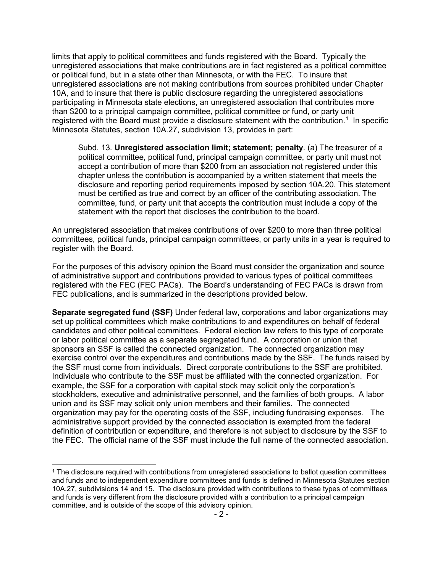limits that apply to political committees and funds registered with the Board. Typically the unregistered associations that make contributions are in fact registered as a political committee or political fund, but in a state other than Minnesota, or with the FEC. To insure that unregistered associations are not making contributions from sources prohibited under Chapter 10A, and to insure that there is public disclosure regarding the unregistered associations participating in Minnesota state elections, an unregistered association that contributes more than \$200 to a principal campaign committee, political committee or fund, or party unit registered with the Board must provide a disclosure statement with the contribution.<sup>[1](#page-1-0)</sup> In specific Minnesota Statutes, section 10A.27, subdivision 13, provides in part:

Subd. 13. **Unregistered association limit; statement; penalty**. (a) The treasurer of a political committee, political fund, principal campaign committee, or party unit must not accept a contribution of more than \$200 from an association not registered under this chapter unless the contribution is accompanied by a written statement that meets the disclosure and reporting period requirements imposed by section 10A.20. This statement must be certified as true and correct by an officer of the contributing association. The committee, fund, or party unit that accepts the contribution must include a copy of the statement with the report that discloses the contribution to the board.

An unregistered association that makes contributions of over \$200 to more than three political committees, political funds, principal campaign committees, or party units in a year is required to register with the Board.

For the purposes of this advisory opinion the Board must consider the organization and source of administrative support and contributions provided to various types of political committees registered with the FEC (FEC PACs). The Board's understanding of FEC PACs is drawn from FEC publications, and is summarized in the descriptions provided below.

**Separate segregated fund (SSF)** Under federal law, corporations and labor organizations may set up political committees which make contributions to and expenditures on behalf of federal candidates and other political committees. Federal election law refers to this type of corporate or labor political committee as a separate segregated fund. A corporation or union that sponsors an SSF is called the connected organization. The connected organization may exercise control over the expenditures and contributions made by the SSF. The funds raised by the SSF must come from individuals. Direct corporate contributions to the SSF are prohibited. Individuals who contribute to the SSF must be affiliated with the connected organization. For example, the SSF for a corporation with capital stock may solicit only the corporation's stockholders, executive and administrative personnel, and the families of both groups. A labor union and its SSF may solicit only union members and their families. The connected organization may pay for the operating costs of the SSF, including fundraising expenses. The administrative support provided by the connected association is exempted from the federal definition of contribution or expenditure, and therefore is not subject to disclosure by the SSF to the FEC. The official name of the SSF must include the full name of the connected association.

<span id="page-1-0"></span><sup>&</sup>lt;sup>1</sup> The disclosure required with contributions from unregistered associations to ballot question committees and funds and to independent expenditure committees and funds is defined in Minnesota Statutes section 10A.27, subdivisions 14 and 15. The disclosure provided with contributions to these types of committees and funds is very different from the disclosure provided with a contribution to a principal campaign committee, and is outside of the scope of this advisory opinion.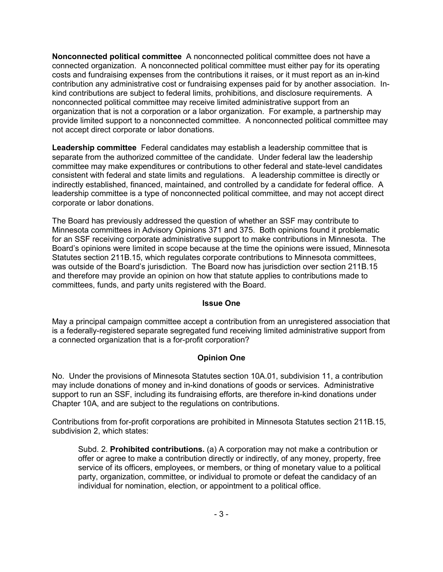**Nonconnected political committee** A nonconnected political committee does not have a connected organization. A nonconnected political committee must either pay for its operating costs and fundraising expenses from the contributions it raises, or it must report as an in-kind contribution any administrative cost or fundraising expenses paid for by another association. Inkind contributions are subject to federal limits, prohibitions, and disclosure requirements. A nonconnected political committee may receive limited administrative support from an organization that is not a corporation or a labor organization. For example, a partnership may provide limited support to a nonconnected committee. A nonconnected political committee may not accept direct corporate or labor donations.

**Leadership committee** Federal candidates may establish a leadership committee that is separate from the authorized committee of the candidate. Under federal law the leadership committee may make expenditures or contributions to other federal and state-level candidates consistent with federal and state limits and regulations. A leadership committee is directly or indirectly established, financed, maintained, and controlled by a candidate for federal office. A leadership committee is a type of nonconnected political committee, and may not accept direct corporate or labor donations.

The Board has previously addressed the question of whether an SSF may contribute to Minnesota committees in Advisory Opinions 371 and 375. Both opinions found it problematic for an SSF receiving corporate administrative support to make contributions in Minnesota. The Board's opinions were limited in scope because at the time the opinions were issued, Minnesota Statutes section 211B.15, which regulates corporate contributions to Minnesota committees, was outside of the Board's jurisdiction. The Board now has jurisdiction over section 211B.15 and therefore may provide an opinion on how that statute applies to contributions made to committees, funds, and party units registered with the Board.

#### **Issue One**

May a principal campaign committee accept a contribution from an unregistered association that is a federally-registered separate segregated fund receiving limited administrative support from a connected organization that is a for-profit corporation?

## **Opinion One**

No. Under the provisions of Minnesota Statutes section 10A.01, subdivision 11, a contribution may include donations of money and in-kind donations of goods or services. Administrative support to run an SSF, including its fundraising efforts, are therefore in-kind donations under Chapter 10A, and are subject to the regulations on contributions.

Contributions from for-profit corporations are prohibited in Minnesota Statutes section 211B.15, subdivision 2, which states:

Subd. 2. **Prohibited contributions.** (a) A corporation may not make a contribution or offer or agree to make a contribution directly or indirectly, of any money, property, free service of its officers, employees, or members, or thing of monetary value to a political party, organization, committee, or individual to promote or defeat the candidacy of an individual for nomination, election, or appointment to a political office.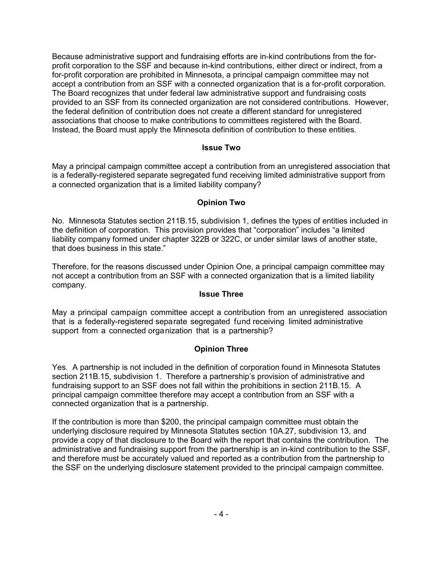Because administrative support and fundraising efforts are in-kind contributions from the forprofit corporation to the SSF and because in-kind contributions, either direct or indirect, from a for-profit corporation are prohibited in Minnesota, a principal campaign committee may not accept a contribution from an SSF with a connected organization that is a for-profit corporation. The Board recognizes that under federal law administrative support and fundraising costs provided to an SSF from its connected organization are not considered contributions. However, the federal definition of contribution does not create a different standard for unregistered associations that choose to make contributions to committees registered with the Board. Instead, the Board must apply the Minnesota definition of contribution to these entities.

#### **Issue Two**

May a principal campaign committee accept a contribution from an unregistered association that is a federally-registered separate segregated fund receiving limited administrative support from a connected organization that is a limited liability company?

## **Opinion Two**

No. Minnesota Statutes section 211B.15, subdivision 1, defines the types of entities included in the definition of corporation. This provision provides that "corporation" includes "a limited liability company formed under chapter 322B or 322C, or under similar laws of another state, that does business in this state."

Therefore, for the reasons discussed under Opinion One, a principal campaign committee may not accept a contribution from an SSF with a connected organization that is a limited liability company.

#### **Issue Three**

May a principal campaign committee accept a contribution from an unregistered association that is a federally-registered separate segregated fund receiving limited administrative support from a connected organization that is a partnership?

## **Opinion Three**

Yes. A partnership is not included in the definition of corporation found in Minnesota Statutes section 211B.15, subdivision 1. Therefore a partnership's provision of administrative and fundraising support to an SSF does not fall within the prohibitions in section 211B.15. A principal campaign committee therefore may accept a contribution from an SSF with a connected organization that is a partnership.

If the contribution is more than \$200, the principal campaign committee must obtain the underlying disclosure required by Minnesota Statutes section 10A.27, subdivision 13, and provide a copy of that disclosure to the Board with the report that contains the contribution. The administrative and fundraising support from the partnership is an in-kind contribution to the SSF, and therefore must be accurately valued and reported as a contribution from the partnership to the SSF on the underlying disclosure statement provided to the principal campaign committee.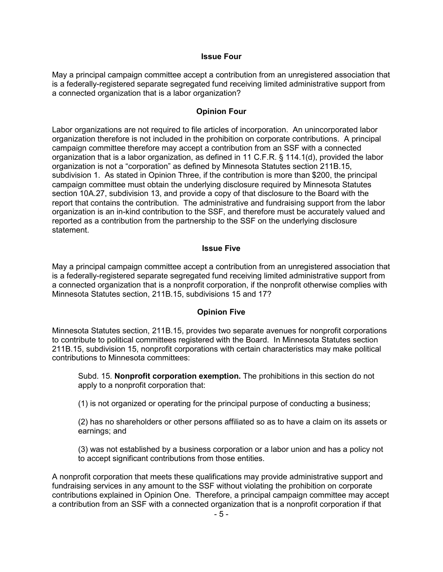#### **Issue Four**

May a principal campaign committee accept a contribution from an unregistered association that is a federally-registered separate segregated fund receiving limited administrative support from a connected organization that is a labor organization?

## **Opinion Four**

Labor organizations are not required to file articles of incorporation. An unincorporated labor organization therefore is not included in the prohibition on corporate contributions. A principal campaign committee therefore may accept a contribution from an SSF with a connected organization that is a labor organization, as defined in 11 C.F.R. § 114.1(d), provided the labor organization is not a "corporation" as defined by Minnesota Statutes section 211B.15, subdivision 1. As stated in Opinion Three, if the contribution is more than \$200, the principal campaign committee must obtain the underlying disclosure required by Minnesota Statutes section 10A.27, subdivision 13, and provide a copy of that disclosure to the Board with the report that contains the contribution. The administrative and fundraising support from the labor organization is an in-kind contribution to the SSF, and therefore must be accurately valued and reported as a contribution from the partnership to the SSF on the underlying disclosure statement.

#### **Issue Five**

May a principal campaign committee accept a contribution from an unregistered association that is a federally-registered separate segregated fund receiving limited administrative support from a connected organization that is a nonprofit corporation, if the nonprofit otherwise complies with Minnesota Statutes section, 211B.15, subdivisions 15 and 17?

## **Opinion Five**

Minnesota Statutes section, 211B.15, provides two separate avenues for nonprofit corporations to contribute to political committees registered with the Board. In Minnesota Statutes section 211B.15, subdivision 15, nonprofit corporations with certain characteristics may make political contributions to Minnesota committees:

Subd. 15. **Nonprofit corporation exemption.** The prohibitions in this section do not apply to a nonprofit corporation that:

(1) is not organized or operating for the principal purpose of conducting a business;

(2) has no shareholders or other persons affiliated so as to have a claim on its assets or earnings; and

(3) was not established by a business corporation or a labor union and has a policy not to accept significant contributions from those entities.

A nonprofit corporation that meets these qualifications may provide administrative support and fundraising services in any amount to the SSF without violating the prohibition on corporate contributions explained in Opinion One. Therefore, a principal campaign committee may accept a contribution from an SSF with a connected organization that is a nonprofit corporation if that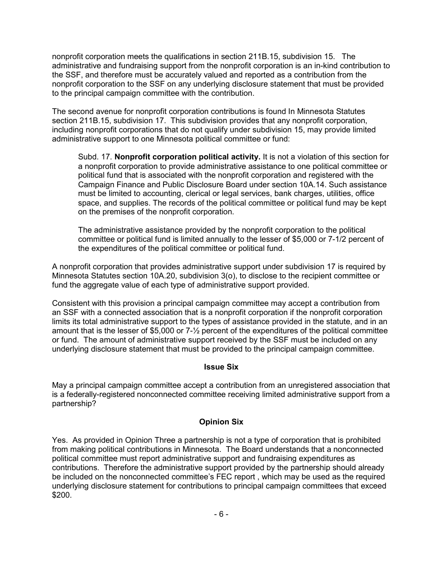nonprofit corporation meets the qualifications in section 211B.15, subdivision 15. The administrative and fundraising support from the nonprofit corporation is an in-kind contribution to the SSF, and therefore must be accurately valued and reported as a contribution from the nonprofit corporation to the SSF on any underlying disclosure statement that must be provided to the principal campaign committee with the contribution.

The second avenue for nonprofit corporation contributions is found In Minnesota Statutes section 211B.15, subdivision 17. This subdivision provides that any nonprofit corporation, including nonprofit corporations that do not qualify under subdivision 15, may provide limited administrative support to one Minnesota political committee or fund:

Subd. 17. **Nonprofit corporation political activity.** It is not a violation of this section for a nonprofit corporation to provide administrative assistance to one political committee or political fund that is associated with the nonprofit corporation and registered with the Campaign Finance and Public Disclosure Board under section 10A.14. Such assistance must be limited to accounting, clerical or legal services, bank charges, utilities, office space, and supplies. The records of the political committee or political fund may be kept on the premises of the nonprofit corporation.

The administrative assistance provided by the nonprofit corporation to the political committee or political fund is limited annually to the lesser of \$5,000 or 7-1/2 percent of the expenditures of the political committee or political fund.

A nonprofit corporation that provides administrative support under subdivision 17 is required by Minnesota Statutes section 10A.20, subdivision 3(o), to disclose to the recipient committee or fund the aggregate value of each type of administrative support provided.

Consistent with this provision a principal campaign committee may accept a contribution from an SSF with a connected association that is a nonprofit corporation if the nonprofit corporation limits its total administrative support to the types of assistance provided in the statute, and in an amount that is the lesser of \$5,000 or 7-½ percent of the expenditures of the political committee or fund. The amount of administrative support received by the SSF must be included on any underlying disclosure statement that must be provided to the principal campaign committee.

## **Issue Six**

May a principal campaign committee accept a contribution from an unregistered association that is a federally-registered nonconnected committee receiving limited administrative support from a partnership?

## **Opinion Six**

Yes. As provided in Opinion Three a partnership is not a type of corporation that is prohibited from making political contributions in Minnesota. The Board understands that a nonconnected political committee must report administrative support and fundraising expenditures as contributions. Therefore the administrative support provided by the partnership should already be included on the nonconnected committee's FEC report , which may be used as the required underlying disclosure statement for contributions to principal campaign committees that exceed \$200.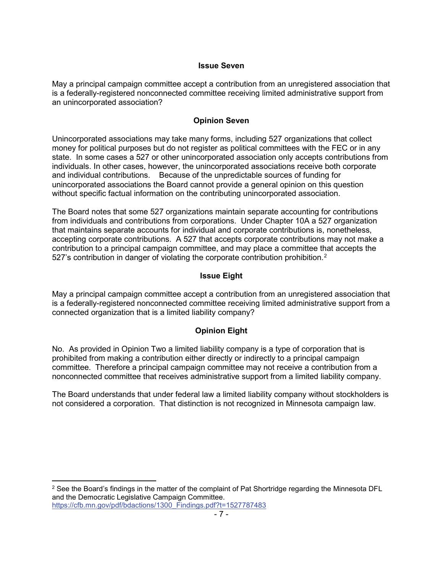#### **Issue Seven**

May a principal campaign committee accept a contribution from an unregistered association that is a federally-registered nonconnected committee receiving limited administrative support from an unincorporated association?

#### **Opinion Seven**

Unincorporated associations may take many forms, including 527 organizations that collect money for political purposes but do not register as political committees with the FEC or in any state. In some cases a 527 or other unincorporated association only accepts contributions from individuals. In other cases, however, the unincorporated associations receive both corporate and individual contributions. Because of the unpredictable sources of funding for unincorporated associations the Board cannot provide a general opinion on this question without specific factual information on the contributing unincorporated association.

The Board notes that some 527 organizations maintain separate accounting for contributions from individuals and contributions from corporations. Under Chapter 10A a 527 organization that maintains separate accounts for individual and corporate contributions is, nonetheless, accepting corporate contributions. A 527 that accepts corporate contributions may not make a contribution to a principal campaign committee, and may place a committee that accepts the 5[2](#page-6-0)7's contribution in danger of violating the corporate contribution prohibition.<sup>2</sup>

# **Issue Eight**

May a principal campaign committee accept a contribution from an unregistered association that is a federally-registered nonconnected committee receiving limited administrative support from a connected organization that is a limited liability company?

# **Opinion Eight**

No. As provided in Opinion Two a limited liability company is a type of corporation that is prohibited from making a contribution either directly or indirectly to a principal campaign committee. Therefore a principal campaign committee may not receive a contribution from a nonconnected committee that receives administrative support from a limited liability company.

The Board understands that under federal law a limited liability company without stockholders is not considered a corporation. That distinction is not recognized in Minnesota campaign law.

<span id="page-6-0"></span><sup>&</sup>lt;sup>2</sup> See the Board's findings in the matter of the complaint of Pat Shortridge regarding the Minnesota DFL and the Democratic Legislative Campaign Committee. [https://cfb.mn.gov/pdf/bdactions/1300\\_Findings.pdf?t=1527787483](https://cfb.mn.gov/pdf/bdactions/1300_Findings.pdf?t=1527787483)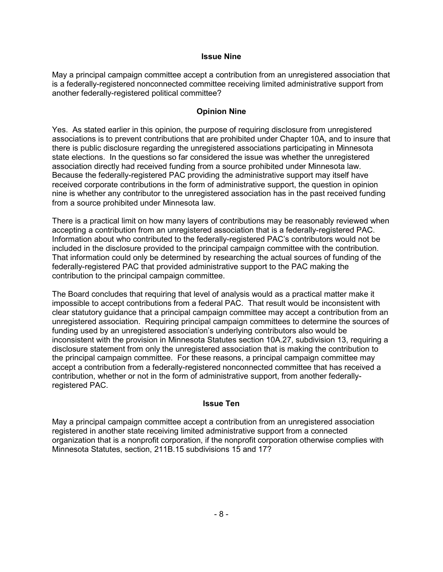#### **Issue Nine**

May a principal campaign committee accept a contribution from an unregistered association that is a federally-registered nonconnected committee receiving limited administrative support from another federally-registered political committee?

# **Opinion Nine**

Yes. As stated earlier in this opinion, the purpose of requiring disclosure from unregistered associations is to prevent contributions that are prohibited under Chapter 10A, and to insure that there is public disclosure regarding the unregistered associations participating in Minnesota state elections. In the questions so far considered the issue was whether the unregistered association directly had received funding from a source prohibited under Minnesota law. Because the federally-registered PAC providing the administrative support may itself have received corporate contributions in the form of administrative support, the question in opinion nine is whether any contributor to the unregistered association has in the past received funding from a source prohibited under Minnesota law.

There is a practical limit on how many layers of contributions may be reasonably reviewed when accepting a contribution from an unregistered association that is a federally-registered PAC. Information about who contributed to the federally-registered PAC's contributors would not be included in the disclosure provided to the principal campaign committee with the contribution. That information could only be determined by researching the actual sources of funding of the federally-registered PAC that provided administrative support to the PAC making the contribution to the principal campaign committee.

The Board concludes that requiring that level of analysis would as a practical matter make it impossible to accept contributions from a federal PAC. That result would be inconsistent with clear statutory guidance that a principal campaign committee may accept a contribution from an unregistered association. Requiring principal campaign committees to determine the sources of funding used by an unregistered association's underlying contributors also would be inconsistent with the provision in Minnesota Statutes section 10A.27, subdivision 13, requiring a disclosure statement from only the unregistered association that is making the contribution to the principal campaign committee. For these reasons, a principal campaign committee may accept a contribution from a federally-registered nonconnected committee that has received a contribution, whether or not in the form of administrative support, from another federallyregistered PAC.

## **Issue Ten**

May a principal campaign committee accept a contribution from an unregistered association registered in another state receiving limited administrative support from a connected organization that is a nonprofit corporation, if the nonprofit corporation otherwise complies with Minnesota Statutes, section, 211B.15 subdivisions 15 and 17?